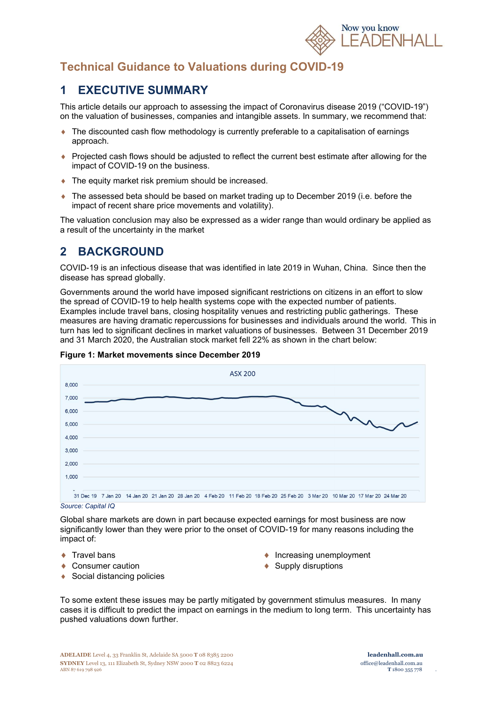

# Technical Guidance to Valuations during COVID-19

# 1 EXECUTIVE SUMMARY

This article details our approach to assessing the impact of Coronavirus disease 2019 ("COVID-19") on the valuation of businesses, companies and intangible assets. In summary, we recommend that:

- $\bullet$  The discounted cash flow methodology is currently preferable to a capitalisation of earnings approach.
- ♦ Projected cash flows should be adjusted to reflect the current best estimate after allowing for the impact of COVID-19 on the business.
- ◆ The equity market risk premium should be increased.
- The assessed beta should be based on market trading up to December 2019 (i.e. before the impact of recent share price movements and volatility).

The valuation conclusion may also be expressed as a wider range than would ordinary be applied as a result of the uncertainty in the market

# 2 BACKGROUND

COVID-19 is an infectious disease that was identified in late 2019 in Wuhan, China. Since then the disease has spread globally.

Governments around the world have imposed significant restrictions on citizens in an effort to slow the spread of COVID-19 to help health systems cope with the expected number of patients. Examples include travel bans, closing hospitality venues and restricting public gatherings. These measures are having dramatic repercussions for businesses and individuals around the world. This in turn has led to significant declines in market valuations of businesses. Between 31 December 2019 and 31 March 2020, the Australian stock market fell 22% as shown in the chart below:



#### Figure 1: Market movements since December 2019

#### Source: Capital IQ

Global share markets are down in part because expected earnings for most business are now significantly lower than they were prior to the onset of COVID-19 for many reasons including the impact of:

- $\leftarrow$  Travel bans
- ◆ Consumer caution
- ◆ Social distancing policies
- $\bullet$  Increasing unemployment
- ◆ Supply disruptions

To some extent these issues may be partly mitigated by government stimulus measures. In many cases it is difficult to predict the impact on earnings in the medium to long term. This uncertainty has pushed valuations down further.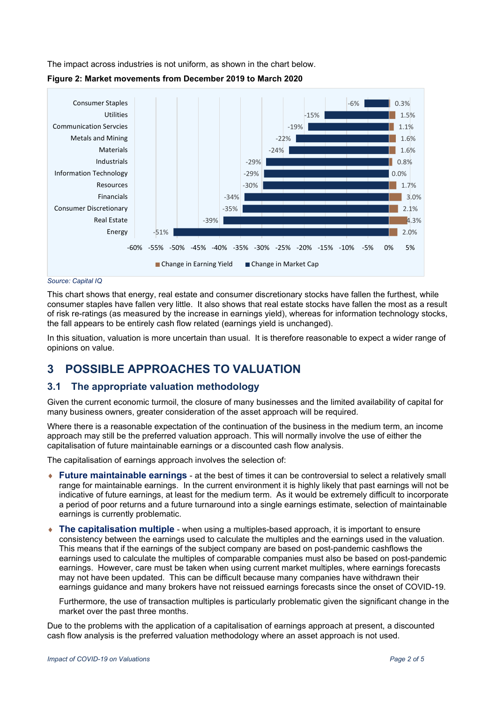The impact across industries is not uniform, as shown in the chart below.





Source: Capital IQ

This chart shows that energy, real estate and consumer discretionary stocks have fallen the furthest, while consumer staples have fallen very little. It also shows that real estate stocks have fallen the most as a result of risk re-ratings (as measured by the increase in earnings yield), whereas for information technology stocks, the fall appears to be entirely cash flow related (earnings yield is unchanged).

In this situation, valuation is more uncertain than usual. It is therefore reasonable to expect a wider range of opinions on value.

# 3 POSSIBLE APPROACHES TO VALUATION

#### 3.1 The appropriate valuation methodology

Given the current economic turmoil, the closure of many businesses and the limited availability of capital for many business owners, greater consideration of the asset approach will be required.

Where there is a reasonable expectation of the continuation of the business in the medium term, an income approach may still be the preferred valuation approach. This will normally involve the use of either the capitalisation of future maintainable earnings or a discounted cash flow analysis.

The capitalisation of earnings approach involves the selection of:

- $\bullet$  Future maintainable earnings at the best of times it can be controversial to select a relatively small range for maintainable earnings. In the current environment it is highly likely that past earnings will not be indicative of future earnings, at least for the medium term. As it would be extremely difficult to incorporate a period of poor returns and a future turnaround into a single earnings estimate, selection of maintainable earnings is currently problematic.
- $\bullet$  The capitalisation multiple when using a multiples-based approach, it is important to ensure consistency between the earnings used to calculate the multiples and the earnings used in the valuation. This means that if the earnings of the subject company are based on post-pandemic cashflows the earnings used to calculate the multiples of comparable companies must also be based on post-pandemic earnings. However, care must be taken when using current market multiples, where earnings forecasts may not have been updated. This can be difficult because many companies have withdrawn their earnings guidance and many brokers have not reissued earnings forecasts since the onset of COVID-19.

Furthermore, the use of transaction multiples is particularly problematic given the significant change in the market over the past three months.

Due to the problems with the application of a capitalisation of earnings approach at present, a discounted cash flow analysis is the preferred valuation methodology where an asset approach is not used.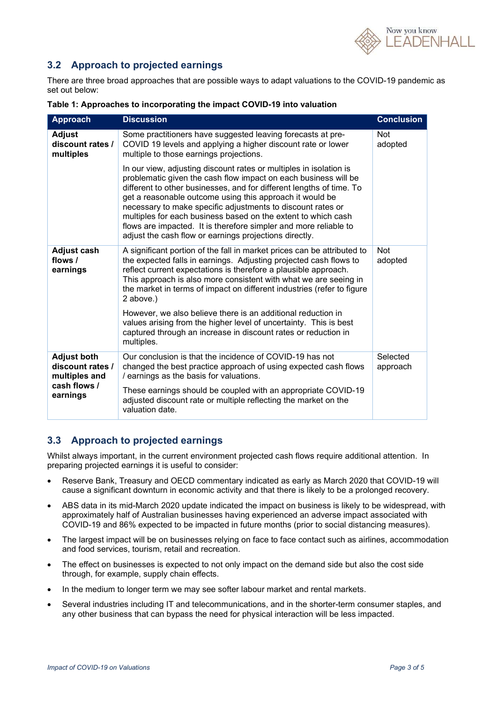

### 3.2 Approach to projected earnings

There are three broad approaches that are possible ways to adapt valuations to the COVID-19 pandemic as set out below:

| <b>Approach</b>                                                                     | <b>Discussion</b>                                                                                                                                                                                                                                                                                                                                                                                                                                                                                                                       | <b>Conclusion</b>     |
|-------------------------------------------------------------------------------------|-----------------------------------------------------------------------------------------------------------------------------------------------------------------------------------------------------------------------------------------------------------------------------------------------------------------------------------------------------------------------------------------------------------------------------------------------------------------------------------------------------------------------------------------|-----------------------|
| <b>Adjust</b><br>discount rates /<br>multiples                                      | Some practitioners have suggested leaving forecasts at pre-<br>COVID 19 levels and applying a higher discount rate or lower<br>multiple to those earnings projections.                                                                                                                                                                                                                                                                                                                                                                  | <b>Not</b><br>adopted |
|                                                                                     | In our view, adjusting discount rates or multiples in isolation is<br>problematic given the cash flow impact on each business will be<br>different to other businesses, and for different lengths of time. To<br>get a reasonable outcome using this approach it would be<br>necessary to make specific adjustments to discount rates or<br>multiples for each business based on the extent to which cash<br>flows are impacted. It is therefore simpler and more reliable to<br>adjust the cash flow or earnings projections directly. |                       |
| <b>Adjust cash</b><br>flows /<br>earnings                                           | A significant portion of the fall in market prices can be attributed to<br>the expected falls in earnings. Adjusting projected cash flows to<br>reflect current expectations is therefore a plausible approach.<br>This approach is also more consistent with what we are seeing in<br>the market in terms of impact on different industries (refer to figure<br>2 above.)                                                                                                                                                              | <b>Not</b><br>adopted |
|                                                                                     | However, we also believe there is an additional reduction in<br>values arising from the higher level of uncertainty. This is best<br>captured through an increase in discount rates or reduction in<br>multiples.                                                                                                                                                                                                                                                                                                                       |                       |
| <b>Adjust both</b><br>discount rates /<br>multiples and<br>cash flows /<br>earnings | Our conclusion is that the incidence of COVID-19 has not<br>changed the best practice approach of using expected cash flows<br>/ earnings as the basis for valuations.                                                                                                                                                                                                                                                                                                                                                                  | Selected<br>approach  |
|                                                                                     | These earnings should be coupled with an appropriate COVID-19<br>adjusted discount rate or multiple reflecting the market on the<br>valuation date.                                                                                                                                                                                                                                                                                                                                                                                     |                       |

| Table 1: Approaches to incorporating the impact COVID-19 into valuation |  |  |
|-------------------------------------------------------------------------|--|--|
|-------------------------------------------------------------------------|--|--|

### 3.3 Approach to projected earnings

Whilst always important, in the current environment projected cash flows require additional attention. In preparing projected earnings it is useful to consider:

- Reserve Bank, Treasury and OECD commentary indicated as early as March 2020 that COVID-19 will cause a significant downturn in economic activity and that there is likely to be a prolonged recovery.
- ABS data in its mid-March 2020 update indicated the impact on business is likely to be widespread, with approximately half of Australian businesses having experienced an adverse impact associated with COVID-19 and 86% expected to be impacted in future months (prior to social distancing measures).
- The largest impact will be on businesses relying on face to face contact such as airlines, accommodation and food services, tourism, retail and recreation.
- The effect on businesses is expected to not only impact on the demand side but also the cost side through, for example, supply chain effects.
- In the medium to longer term we may see softer labour market and rental markets.
- Several industries including IT and telecommunications, and in the shorter-term consumer staples, and any other business that can bypass the need for physical interaction will be less impacted.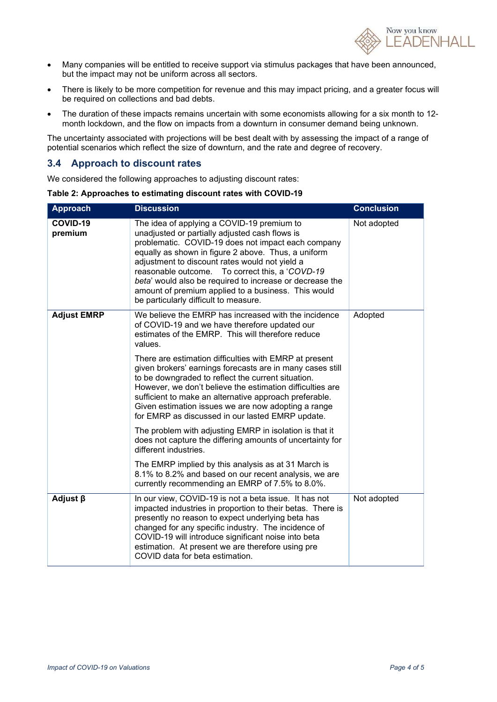

- Many companies will be entitled to receive support via stimulus packages that have been announced, but the impact may not be uniform across all sectors.
- There is likely to be more competition for revenue and this may impact pricing, and a greater focus will be required on collections and bad debts.
- The duration of these impacts remains uncertain with some economists allowing for a six month to 12 month lockdown, and the flow on impacts from a downturn in consumer demand being unknown.

The uncertainty associated with projections will be best dealt with by assessing the impact of a range of potential scenarios which reflect the size of downturn, and the rate and degree of recovery.

#### 3.4 Approach to discount rates

We considered the following approaches to adjusting discount rates:

Table 2: Approaches to estimating discount rates with COVID-19

| <b>Approach</b>     | <b>Discussion</b>                                                                                                                                                                                                                                                                                                                                                                                                                                                                                                                                                                                                                               | <b>Conclusion</b> |
|---------------------|-------------------------------------------------------------------------------------------------------------------------------------------------------------------------------------------------------------------------------------------------------------------------------------------------------------------------------------------------------------------------------------------------------------------------------------------------------------------------------------------------------------------------------------------------------------------------------------------------------------------------------------------------|-------------------|
| COVID-19<br>premium | The idea of applying a COVID-19 premium to<br>unadjusted or partially adjusted cash flows is<br>problematic. COVID-19 does not impact each company<br>equally as shown in figure 2 above. Thus, a uniform<br>adjustment to discount rates would not yield a<br>To correct this, a 'COVD-19<br>reasonable outcome.<br>beta' would also be required to increase or decrease the<br>amount of premium applied to a business. This would<br>be particularly difficult to measure.                                                                                                                                                                   | Not adopted       |
| <b>Adjust EMRP</b>  | We believe the EMRP has increased with the incidence<br>of COVID-19 and we have therefore updated our<br>estimates of the EMRP. This will therefore reduce<br>values.<br>There are estimation difficulties with EMRP at present<br>given brokers' earnings forecasts are in many cases still<br>to be downgraded to reflect the current situation.<br>However, we don't believe the estimation difficulties are<br>sufficient to make an alternative approach preferable.<br>Given estimation issues we are now adopting a range<br>for EMRP as discussed in our lasted EMRP update.<br>The problem with adjusting EMRP in isolation is that it | Adopted           |
|                     | does not capture the differing amounts of uncertainty for<br>different industries.<br>The EMRP implied by this analysis as at 31 March is<br>8.1% to 8.2% and based on our recent analysis, we are<br>currently recommending an EMRP of 7.5% to 8.0%.                                                                                                                                                                                                                                                                                                                                                                                           |                   |
| Adjust $\beta$      | In our view, COVID-19 is not a beta issue. It has not<br>impacted industries in proportion to their betas. There is<br>presently no reason to expect underlying beta has<br>changed for any specific industry. The incidence of<br>COVID-19 will introduce significant noise into beta<br>estimation. At present we are therefore using pre<br>COVID data for beta estimation.                                                                                                                                                                                                                                                                  | Not adopted       |